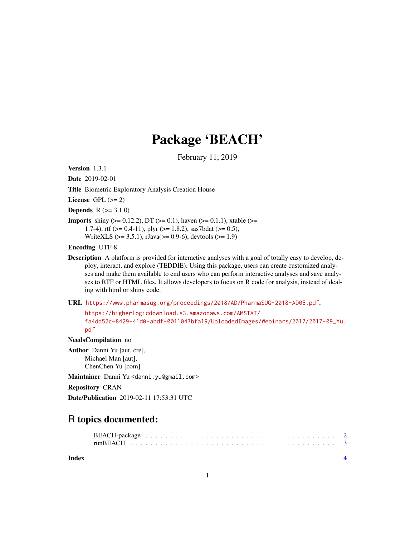## Package 'BEACH'

February 11, 2019

Version 1.3.1

Date 2019-02-01

Title Biometric Exploratory Analysis Creation House

License GPL  $(>= 2)$ 

**Depends**  $R (= 3.1.0)$ 

**Imports** shiny ( $>= 0.12.2$ ), DT ( $>= 0.1$ ), haven ( $>= 0.1.1$ ), xtable ( $>=$ 1.7-4), rtf ( $> = 0.4$ -11), plyr ( $> = 1.8.2$ ), sas7bdat ( $> = 0.5$ ), WriteXLS ( $>= 3.5.1$ ), rJava( $>= 0.9-6$ ), devtools ( $>= 1.9$ )

Encoding UTF-8

Description A platform is provided for interactive analyses with a goal of totally easy to develop, deploy, interact, and explore (TEDDIE). Using this package, users can create customized analyses and make them available to end users who can perform interactive analyses and save analyses to RTF or HTML files. It allows developers to focus on R code for analysis, instead of dealing with html or shiny code.

URL <https://www.pharmasug.org/proceedings/2018/AD/PharmaSUG-2018-AD05.pdf>,

[https://higherlogicdownload.s3.amazonaws.com/AMSTAT/](https://higherlogicdownload.s3.amazonaws.com/AMSTAT/fa4dd52c-8429-41d0-abdf-0011047bfa19/UploadedImages/Webinars/2017/2017-09_Yu.pdf) [fa4dd52c-8429-41d0-abdf-0011047bfa19/UploadedImages/Webinars/2017/2017-09\\_Yu.](https://higherlogicdownload.s3.amazonaws.com/AMSTAT/fa4dd52c-8429-41d0-abdf-0011047bfa19/UploadedImages/Webinars/2017/2017-09_Yu.pdf) [pdf](https://higherlogicdownload.s3.amazonaws.com/AMSTAT/fa4dd52c-8429-41d0-abdf-0011047bfa19/UploadedImages/Webinars/2017/2017-09_Yu.pdf)

NeedsCompilation no

Author Danni Yu [aut, cre], Michael Man [aut], ChenChen Yu [com]

Maintainer Danni Yu <danni.yu@gmail.com>

Repository CRAN

Date/Publication 2019-02-11 17:53:31 UTC

### R topics documented:

**Index** [4](#page-3-0)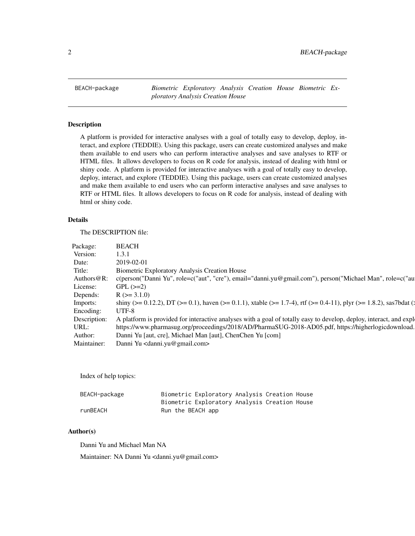<span id="page-1-0"></span>BEACH-package *Biometric Exploratory Analysis Creation House Biometric Exploratory Analysis Creation House*

#### Description

A platform is provided for interactive analyses with a goal of totally easy to develop, deploy, interact, and explore (TEDDIE). Using this package, users can create customized analyses and make them available to end users who can perform interactive analyses and save analyses to RTF or HTML files. It allows developers to focus on R code for analysis, instead of dealing with html or shiny code. A platform is provided for interactive analyses with a goal of totally easy to develop, deploy, interact, and explore (TEDDIE). Using this package, users can create customized analyses and make them available to end users who can perform interactive analyses and save analyses to RTF or HTML files. It allows developers to focus on R code for analysis, instead of dealing with html or shiny code.

#### Details

The DESCRIPTION file:

| Package:    | <b>BEACH</b>                                                                                                                    |
|-------------|---------------------------------------------------------------------------------------------------------------------------------|
| Version:    | 1.3.1                                                                                                                           |
| Date:       | 2019-02-01                                                                                                                      |
| Title:      | <b>Biometric Exploratory Analysis Creation House</b>                                                                            |
|             | Authors@R: c(person("Danni Yu", role=c("aut", "cre"), email="danni.yu@gmail.com"), person("Michael Man", role=c("au             |
| License:    | $GPL$ $(>=2)$                                                                                                                   |
| Depends:    | $R$ ( $> = 3.1.0$ )                                                                                                             |
| Imports:    | shiny (>= 0.12.2), DT (>= 0.1), haven (>= 0.1.1), xtable (>= 1.7-4), rtf (>= 0.4-11), plyr (>= 1.8.2), sas7bdat (:              |
| Encoding:   | UTF-8                                                                                                                           |
|             | Description: A platform is provided for interactive analyses with a goal of totally easy to develop, deploy, interact, and expl |
| URL:        | https://www.pharmasug.org/proceedings/2018/AD/PharmaSUG-2018-AD05.pdf, https://higherlogicdownload.                             |
| Author:     | Danni Yu [aut, cre], Michael Man [aut], ChenChen Yu [com]                                                                       |
| Maintainer: | Danni Yu <danni.yu@gmail.com></danni.yu@gmail.com>                                                                              |

Index of help topics:

| BEACH-package | Biometric Exploratory Analysis Creation House |  |  |
|---------------|-----------------------------------------------|--|--|
|               | Biometric Exploratory Analysis Creation House |  |  |
| runBEACH      | Run the BEACH app                             |  |  |

#### Author(s)

Danni Yu and Michael Man NA

Maintainer: NA Danni Yu <danni.yu@gmail.com>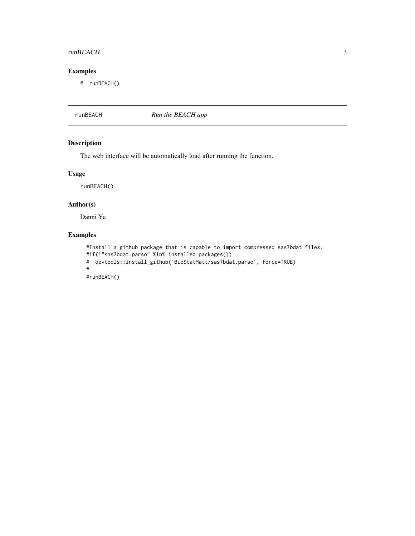#### <span id="page-2-0"></span>runBEACH 3

#### Examples

# runBEACH()

runBEACH *Run the BEACH app*

#### Description

The web interface will be automatically load after running the function.

#### Usage

runBEACH()

#### Author(s)

Danni Yu

#### Examples

```
#Install a github package that is capable to import compressed sas7bdat files.
#if(!"sas7bdat.parso" %in% installed.packages())
# devtools::install_github('BioStatMatt/sas7bdat.parso', force=TRUE)
#
#runBEACH()
```